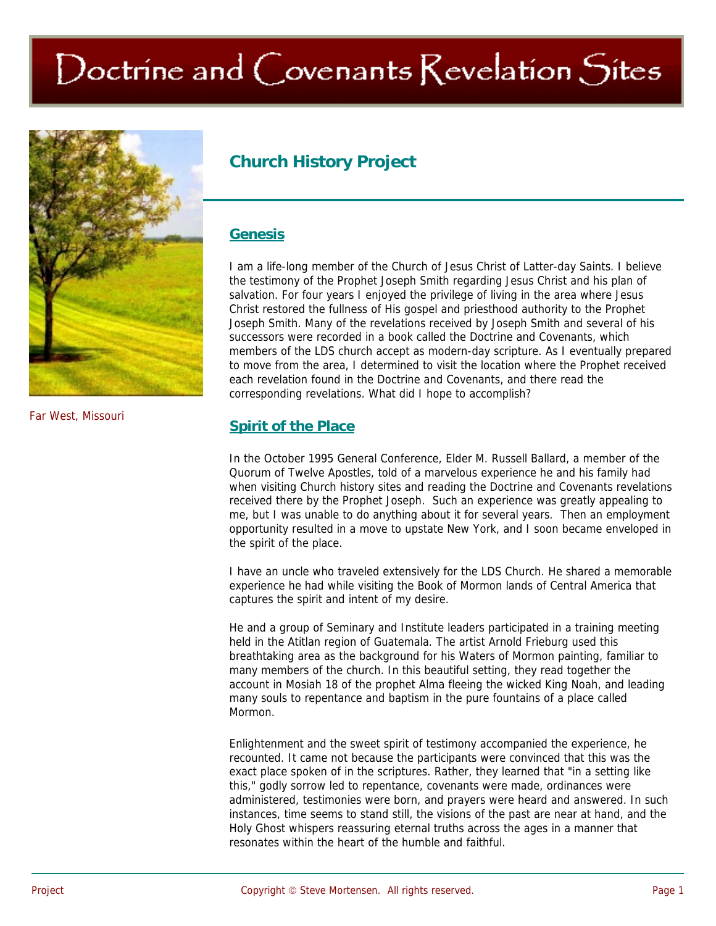# Doctrine and Covenants Revelation Sites



**Church History Project** 

## **Genesis**

I am a life-long member of the Church of Jesus Christ of Latter-day Saints. I believe the testimony of the Prophet Joseph Smith regarding Jesus Christ and his plan of salvation. For four years I enjoyed the privilege of living in the area where Jesus Christ restored the fullness of His gospel and priesthood authority to the Prophet Joseph Smith. Many of the revelations received by Joseph Smith and several of his successors were recorded in a book called the Doctrine and Covenants, which members of the LDS church accept as modern-day scripture. As I eventually prepared to move from the area, I determined to visit the location where the Prophet received each revelation found in the Doctrine and Covenants, and there read the corresponding revelations. What did I hope to accomplish?

## **Spirit of the Place**

In the October 1995 General Conference, Elder M. Russell Ballard, a member of the Quorum of Twelve Apostles, told of a marvelous experience he and his family had when visiting Church history sites and reading the Doctrine and Covenants revelations received there by the Prophet Joseph. Such an experience was greatly appealing to me, but I was unable to do anything about it for several years. Then an employment opportunity resulted in a move to upstate New York, and I soon became enveloped in the spirit of the place.

I have an uncle who traveled extensively for the LDS Church. He shared a memorable experience he had while visiting the Book of Mormon lands of Central America that captures the spirit and intent of my desire.

He and a group of Seminary and Institute leaders participated in a training meeting held in the Atitlan region of Guatemala. The artist Arnold Frieburg used this breathtaking area as the background for his Waters of Mormon painting, familiar to many members of the church. In this beautiful setting, they read together the account in Mosiah 18 of the prophet Alma fleeing the wicked King Noah, and leading many souls to repentance and baptism in the pure fountains of a place called Mormon.

Enlightenment and the sweet spirit of testimony accompanied the experience, he recounted. It came not because the participants were convinced that this was the exact place spoken of in the scriptures. Rather, they learned that "in a setting like this," godly sorrow led to repentance, covenants were made, ordinances were administered, testimonies were born, and prayers were heard and answered. In such instances, time seems to stand still, the visions of the past are near at hand, and the Holy Ghost whispers reassuring eternal truths across the ages in a manner that resonates within the heart of the humble and faithful.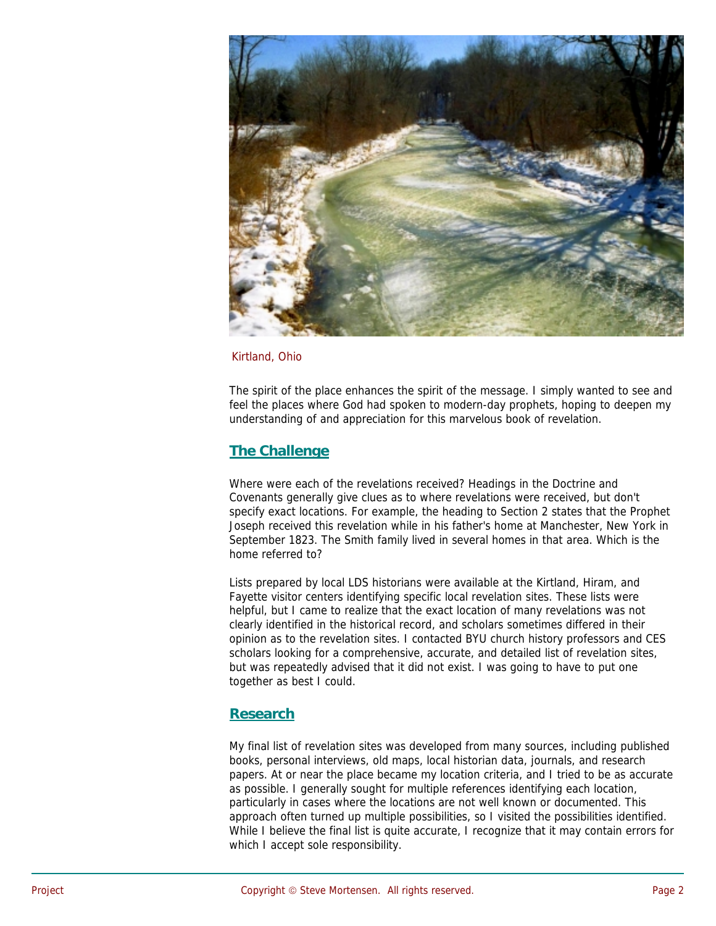

#### Kirtland, Ohio

The spirit of the place enhances the spirit of the message. I simply wanted to see and feel the places where God had spoken to modern-day prophets, hoping to deepen my understanding of and appreciation for this marvelous book of revelation.

# **The Challenge**

Where were each of the revelations received? Headings in the Doctrine and Covenants generally give clues as to where revelations were received, but don't specify exact locations. For example, the heading to Section 2 states that the Prophet Joseph received this revelation while in his father's home at Manchester, New York in September 1823. The Smith family lived in several homes in that area. Which is the home referred to?

Lists prepared by local LDS historians were available at the Kirtland, Hiram, and Fayette visitor centers identifying specific local revelation sites. These lists were helpful, but I came to realize that the exact location of many revelations was not clearly identified in the historical record, and scholars sometimes differed in their opinion as to the revelation sites. I contacted BYU church history professors and CES scholars looking for a comprehensive, accurate, and detailed list of revelation sites, but was repeatedly advised that it did not exist. I was going to have to put one together as best I could.

## **Research**

My final list of revelation sites was developed from many sources, including published books, personal interviews, old maps, local historian data, journals, and research papers. At or near the place became my location criteria, and I tried to be as accurate as possible. I generally sought for multiple references identifying each location, particularly in cases where the locations are not well known or documented. This approach often turned up multiple possibilities, so I visited the possibilities identified. While I believe the final list is quite accurate, I recognize that it may contain errors for which I accept sole responsibility.